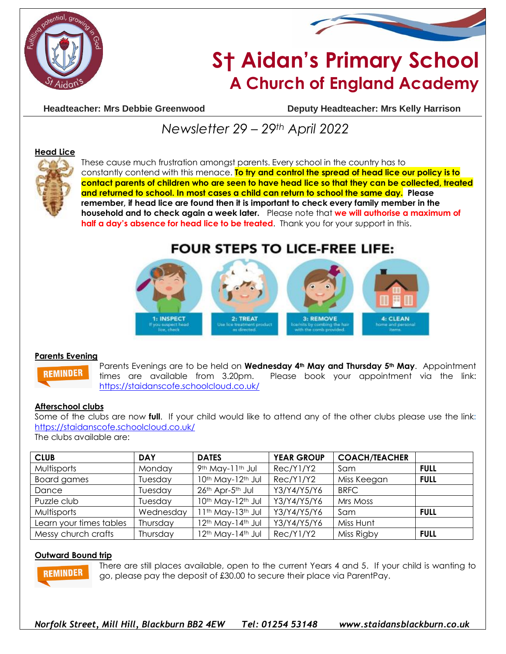



# **S† Aidan's Primary School A Church of England Academy**

**Headteacher: Mrs Debbie Greenwood Deputy Headteacher: Mrs Kelly Harrison**

# *Newsletter 29 – 29th April 2022*

#### **Head Lice**



These cause much frustration amongst parents. Every school in the country has to constantly contend with this menace. **To try and control the spread of head lice our policy is to contact parents of children who are seen to have head lice so that they can be collected, treated and returned to school. In most cases a child can return to school the same day. Please remember, if head lice are found then it is important to check every family member in the household and to check again a week later.** Please note that **we will authorise a maximum of half a day's absence for head lice to be treated**. Thank you for your support in this.

# **FOUR STEPS TO LICE-FREE LIFE:**



#### **Parents Evening**

**REMINDER** 

Parents Evenings are to be held on **Wednesday 4th May and Thursday 5th May**. Appointment times are available from 3.20pm. Please book your appointment via the link: <https://staidanscofe.schoolcloud.co.uk/>

#### **Afterschool clubs**

Some of the clubs are now **full**. If your child would like to attend any of the other clubs please use the link**:**  <https://staidanscofe.schoolcloud.co.uk/>

The clubs available are:

| <b>CLUB</b>             | <b>DAY</b> | <b>DATES</b>                              | <b>YEAR GROUP</b> | <b>COACH/TEACHER</b> |             |
|-------------------------|------------|-------------------------------------------|-------------------|----------------------|-------------|
| Multisports             | Monday     | 9th May-11th Jul                          | Rec/Y1/Y2         | Sam                  | <b>FULL</b> |
| Board games             | Tuesday    | 10th May-12th Jul                         | Rec/Y1/Y2         | Miss Keegan          | <b>FULL</b> |
| Dance                   | Tuesday    | 26th Apr-5th Jul                          | Y3/Y4/Y5/Y6       | <b>BRFC</b>          |             |
| Puzzle club             | Tuesday    | 10th May-12th Jul                         | Y3/Y4/Y5/Y6       | Mrs Moss             |             |
| Multisports             | Wednesday  | 11th May-13th Jul                         | Y3/Y4/Y5/Y6       | Sam                  | <b>FULL</b> |
| Learn your times tables | Thursday   | 12 <sup>th</sup> May-14 <sup>th</sup> Jul | Y3/Y4/Y5/Y6       | Miss Hunt            |             |
| Messy church crafts     | Thursday   | 12 <sup>th</sup> May-14 <sup>th</sup> Jul | Rec/Y1/Y2         | Miss Rigby           | <b>FULL</b> |

#### **Outward Bound trip**

**REMINDER** 

There are still places available, open to the current Years 4 and 5. If your child is wanting to go, please pay the deposit of £30.00 to secure their place via ParentPay.

*Norfolk Street, Mill Hill, Blackburn BB2 4EW Tel: 01254 53148 www.staidansblackburn.co.uk*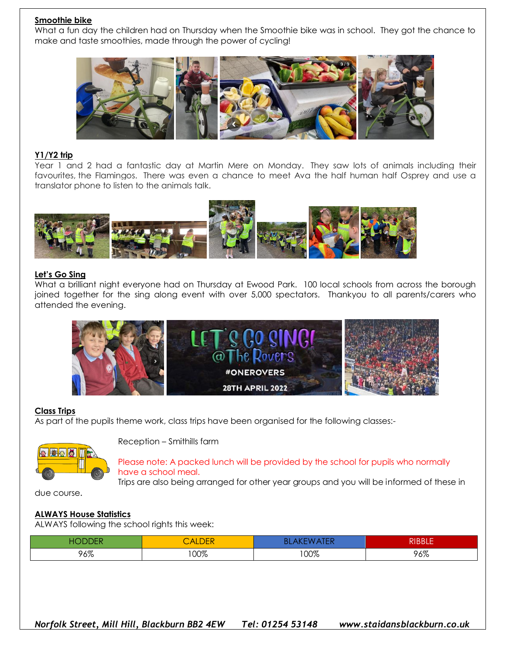#### **Smoothie bike**

What a fun day the children had on Thursday when the Smoothie bike was in school. They got the chance to make and taste smoothies, made through the power of cycling!



#### **Y1/Y2 trip**

Year 1 and 2 had a fantastic day at Martin Mere on Monday. They saw lots of animals including their favourites, the Flamingos. There was even a chance to meet Ava the half human half Osprey and use a translator phone to listen to the animals talk.



#### **Let's Go Sing**

What a brilliant night everyone had on Thursday at Ewood Park. 100 local schools from across the borough joined together for the sing along event with over 5,000 spectators. Thankyou to all parents/carers who attended the evening.



#### **Class Trips**

As part of the pupils theme work, class trips have been organised for the following classes:-



Reception – Smithills farm

Please note: A packed lunch will be provided by the school for pupils who normally have a school meal.

Trips are also being arranged for other year groups and you will be informed of these in

due course.

### **ALWAYS House Statistics**

ALWAYS following the school rights this week:

|     | $\overline{\phantom{a}}$ | $\mathbf{v}$ | ים וחחות |
|-----|--------------------------|--------------|----------|
|     | <b>ALDEN</b>             | u Lin        | אנסי.    |
| 96% | 100%                     | 00%          | 96%      |

*Norfolk Street, Mill Hill, Blackburn BB2 4EW Tel: 01254 53148 www.staidansblackburn.co.uk*